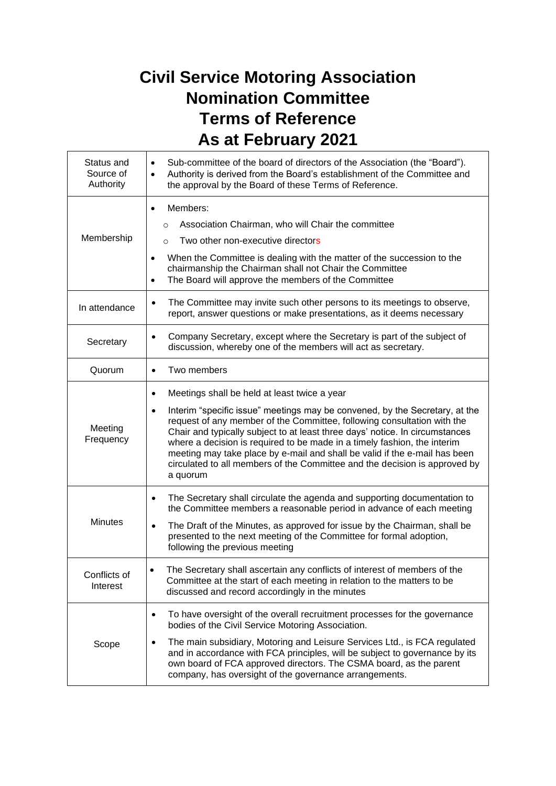## **Civil Service Motoring Association Nomination Committee Terms of Reference As at February 2021**

| Status and<br>Source of<br>Authority | Sub-committee of the board of directors of the Association (the "Board").<br>$\bullet$<br>Authority is derived from the Board's establishment of the Committee and<br>$\bullet$<br>the approval by the Board of these Terms of Reference.                                                                                                                                                                                                                                                                                                                    |
|--------------------------------------|--------------------------------------------------------------------------------------------------------------------------------------------------------------------------------------------------------------------------------------------------------------------------------------------------------------------------------------------------------------------------------------------------------------------------------------------------------------------------------------------------------------------------------------------------------------|
| Membership                           | Members:<br>$\bullet$<br>Association Chairman, who will Chair the committee<br>$\circ$<br>Two other non-executive directors<br>$\circ$<br>When the Committee is dealing with the matter of the succession to the<br>$\bullet$<br>chairmanship the Chairman shall not Chair the Committee<br>The Board will approve the members of the Committee<br>$\bullet$                                                                                                                                                                                                 |
| In attendance                        | The Committee may invite such other persons to its meetings to observe,<br>٠<br>report, answer questions or make presentations, as it deems necessary                                                                                                                                                                                                                                                                                                                                                                                                        |
| Secretary                            | Company Secretary, except where the Secretary is part of the subject of<br>$\bullet$<br>discussion, whereby one of the members will act as secretary.                                                                                                                                                                                                                                                                                                                                                                                                        |
| Quorum                               | Two members<br>$\bullet$                                                                                                                                                                                                                                                                                                                                                                                                                                                                                                                                     |
| Meeting<br>Frequency                 | Meetings shall be held at least twice a year<br>٠<br>Interim "specific issue" meetings may be convened, by the Secretary, at the<br>$\bullet$<br>request of any member of the Committee, following consultation with the<br>Chair and typically subject to at least three days' notice. In circumstances<br>where a decision is required to be made in a timely fashion, the interim<br>meeting may take place by e-mail and shall be valid if the e-mail has been<br>circulated to all members of the Committee and the decision is approved by<br>a quorum |
| <b>Minutes</b>                       | The Secretary shall circulate the agenda and supporting documentation to<br>$\bullet$<br>the Committee members a reasonable period in advance of each meeting<br>The Draft of the Minutes, as approved for issue by the Chairman, shall be<br>$\bullet$<br>presented to the next meeting of the Committee for formal adoption,<br>following the previous meeting                                                                                                                                                                                             |
| Conflicts of<br>Interest             | The Secretary shall ascertain any conflicts of interest of members of the<br>Committee at the start of each meeting in relation to the matters to be<br>discussed and record accordingly in the minutes                                                                                                                                                                                                                                                                                                                                                      |
| Scope                                | To have oversight of the overall recruitment processes for the governance<br>٠<br>bodies of the Civil Service Motoring Association.<br>The main subsidiary, Motoring and Leisure Services Ltd., is FCA regulated<br>and in accordance with FCA principles, will be subject to governance by its<br>own board of FCA approved directors. The CSMA board, as the parent<br>company, has oversight of the governance arrangements.                                                                                                                              |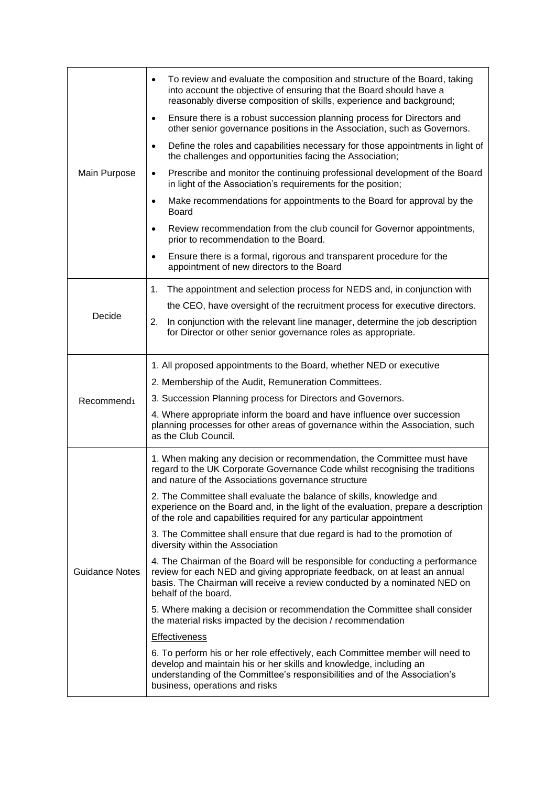| Main Purpose           | To review and evaluate the composition and structure of the Board, taking<br>٠<br>into account the objective of ensuring that the Board should have a<br>reasonably diverse composition of skills, experience and background;                                                                                       |
|------------------------|---------------------------------------------------------------------------------------------------------------------------------------------------------------------------------------------------------------------------------------------------------------------------------------------------------------------|
|                        | Ensure there is a robust succession planning process for Directors and<br>$\bullet$<br>other senior governance positions in the Association, such as Governors.                                                                                                                                                     |
|                        | Define the roles and capabilities necessary for those appointments in light of<br>$\bullet$<br>the challenges and opportunities facing the Association;                                                                                                                                                             |
|                        | Prescribe and monitor the continuing professional development of the Board<br>$\bullet$<br>in light of the Association's requirements for the position;                                                                                                                                                             |
|                        | Make recommendations for appointments to the Board for approval by the<br>٠<br><b>Board</b>                                                                                                                                                                                                                         |
|                        | Review recommendation from the club council for Governor appointments,<br>$\bullet$<br>prior to recommendation to the Board.                                                                                                                                                                                        |
|                        | Ensure there is a formal, rigorous and transparent procedure for the<br>٠<br>appointment of new directors to the Board                                                                                                                                                                                              |
| Decide                 | The appointment and selection process for NEDS and, in conjunction with<br>1.<br>the CEO, have oversight of the recruitment process for executive directors.<br>In conjunction with the relevant line manager, determine the job description<br>2.<br>for Director or other senior governance roles as appropriate. |
|                        | 1. All proposed appointments to the Board, whether NED or executive                                                                                                                                                                                                                                                 |
|                        | 2. Membership of the Audit, Remuneration Committees.                                                                                                                                                                                                                                                                |
| Recommend <sub>1</sub> | 3. Succession Planning process for Directors and Governors.                                                                                                                                                                                                                                                         |
|                        | 4. Where appropriate inform the board and have influence over succession<br>planning processes for other areas of governance within the Association, such<br>as the Club Council.                                                                                                                                   |
| <b>Guidance Notes</b>  | 1. When making any decision or recommendation, the Committee must have<br>regard to the UK Corporate Governance Code whilst recognising the traditions<br>and nature of the Associations governance structure                                                                                                       |
|                        | 2. The Committee shall evaluate the balance of skills, knowledge and<br>experience on the Board and, in the light of the evaluation, prepare a description<br>of the role and capabilities required for any particular appointment                                                                                  |
|                        | 3. The Committee shall ensure that due regard is had to the promotion of<br>diversity within the Association                                                                                                                                                                                                        |
|                        | 4. The Chairman of the Board will be responsible for conducting a performance<br>review for each NED and giving appropriate feedback, on at least an annual<br>basis. The Chairman will receive a review conducted by a nominated NED on<br>behalf of the board.                                                    |
|                        | 5. Where making a decision or recommendation the Committee shall consider<br>the material risks impacted by the decision / recommendation                                                                                                                                                                           |
|                        | <b>Effectiveness</b>                                                                                                                                                                                                                                                                                                |
|                        | 6. To perform his or her role effectively, each Committee member will need to<br>develop and maintain his or her skills and knowledge, including an<br>understanding of the Committee's responsibilities and of the Association's<br>business, operations and risks                                                 |